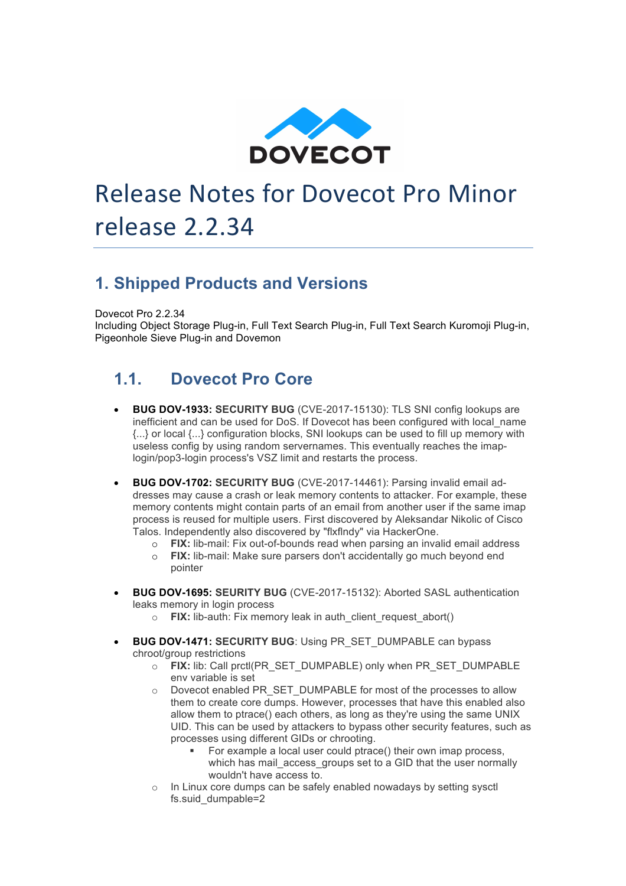

# Release Notes for Dovecot Pro Minor release 2.2.34

#### **1. Shipped Products and Versions**

Dovecot Pro 2.2.34

Including Object Storage Plug-in, Full Text Search Plug-in, Full Text Search Kuromoji Plug-in, Pigeonhole Sieve Plug-in and Dovemon

#### **1.1. Dovecot Pro Core**

- **BUG DOV-1933: SECURITY BUG** (CVE-2017-15130): TLS SNI config lookups are inefficient and can be used for DoS. If Dovecot has been configured with local\_name {...} or local {...} configuration blocks, SNI lookups can be used to fill up memory with useless config by using random servernames. This eventually reaches the imaplogin/pop3-login process's VSZ limit and restarts the process.
- **BUG DOV-1702: SECURITY BUG** (CVE-2017-14461): Parsing invalid email addresses may cause a crash or leak memory contents to attacker. For example, these memory contents might contain parts of an email from another user if the same imap process is reused for multiple users. First discovered by Aleksandar Nikolic of Cisco Talos. Independently also discovered by "flxflndy" via HackerOne.
	- o **FIX:** lib-mail: Fix out-of-bounds read when parsing an invalid email address
	- o **FIX:** lib-mail: Make sure parsers don't accidentally go much beyond end pointer
- **BUG DOV-1695: SEURITY BUG** (CVE-2017-15132): Aborted SASL authentication leaks memory in login process
	- o **FIX:** lib-auth: Fix memory leak in auth\_client\_request\_abort()
- **BUG DOV-1471: SECURITY BUG**: Using PR\_SET\_DUMPABLE can bypass chroot/group restrictions
	- o **FIX:** lib: Call prctl(PR\_SET\_DUMPABLE) only when PR\_SET\_DUMPABLE env variable is set
	- o Dovecot enabled PR\_SET\_DUMPABLE for most of the processes to allow them to create core dumps. However, processes that have this enabled also allow them to ptrace() each others, as long as they're using the same UNIX UID. This can be used by attackers to bypass other security features, such as processes using different GIDs or chrooting.
		- For example a local user could ptrace() their own imap process, which has mail\_access\_groups set to a GID that the user normally wouldn't have access to.
	- o In Linux core dumps can be safely enabled nowadays by setting sysctl fs.suid\_dumpable=2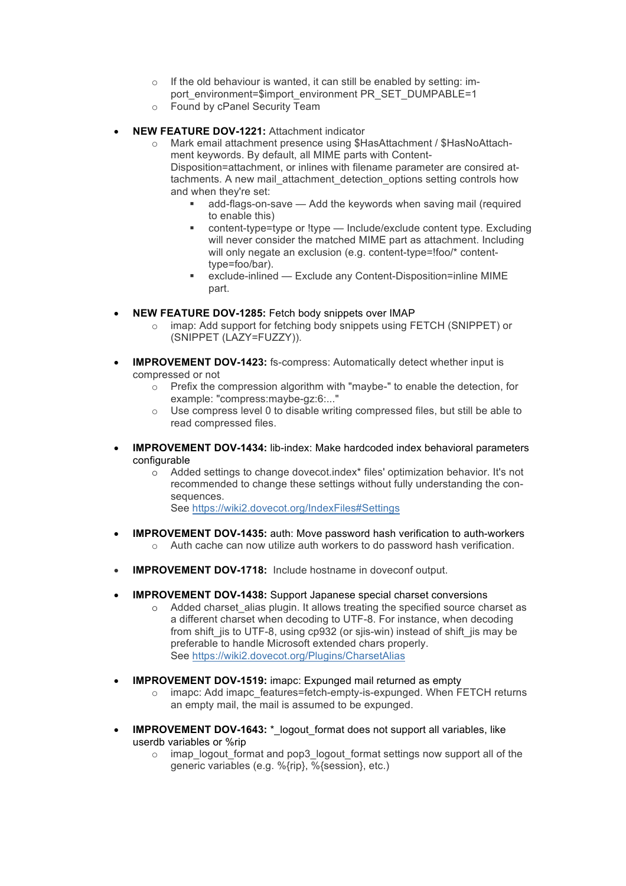- o If the old behaviour is wanted, it can still be enabled by setting: import\_environment=\$import\_environment PR\_SET\_DUMPABLE=1
- o Found by cPanel Security Team
- **NEW FEATURE DOV-1221:** Attachment indicator
	- o Mark email attachment presence using \$HasAttachment / \$HasNoAttachment keywords. By default, all MIME parts with Content-Disposition=attachment, or inlines with filename parameter are consired attachments. A new mail attachment detection options setting controls how and when they're set:
		- add-flags-on-save Add the keywords when saving mail (required to enable this)
		- § content-type=type or !type Include/exclude content type. Excluding will never consider the matched MIME part as attachment. Including will only negate an exclusion (e.g. content-type=!foo/\* contenttype=foo/bar).
		- § exclude-inlined Exclude any Content-Disposition=inline MIME part.
- **NEW FEATURE DOV-1285:** Fetch body snippets over IMAP
	- o imap: Add support for fetching body snippets using FETCH (SNIPPET) or (SNIPPET (LAZY=FUZZY)).
- **IMPROVEMENT DOV-1423:** fs-compress: Automatically detect whether input is compressed or not
	- $\circ$  Prefix the compression algorithm with "maybe-" to enable the detection, for example: "compress:maybe-gz:6:..."
	- o Use compress level 0 to disable writing compressed files, but still be able to read compressed files.
- **IMPROVEMENT DOV-1434:** lib-index: Make hardcoded index behavioral parameters configurable
	- o Added settings to change dovecot.index\* files' optimization behavior. It's not recommended to change these settings without fully understanding the consequences. See https://wiki2.dovecot.org/IndexFiles#Settings
- **IMPROVEMENT DOV-1435:** auth: Move password hash verification to auth-workers o Auth cache can now utilize auth workers to do password hash verification.
- **IMPROVEMENT DOV-1718:** Include hostname in doveconf output.
- **IMPROVEMENT DOV-1438:** Support Japanese special charset conversions
	- o Added charset\_alias plugin. It allows treating the specified source charset as a different charset when decoding to UTF-8. For instance, when decoding from shift jis to UTF-8, using cp932 (or sjis-win) instead of shift jis may be preferable to handle Microsoft extended chars properly. See https://wiki2.dovecot.org/Plugins/CharsetAlias
- **IMPROVEMENT DOV-1519:** imapc: Expunged mail returned as empty
	- o imapc: Add imapc\_features=fetch-empty-is-expunged. When FETCH returns an empty mail, the mail is assumed to be expunged.
- **IMPROVEMENT DOV-1643:**  $*$  logout format does not support all variables, like userdb variables or %rip
	- $\circ$  imap logout format and pop3 logout format settings now support all of the generic variables (e.g. %{rip}, %{session}, etc.)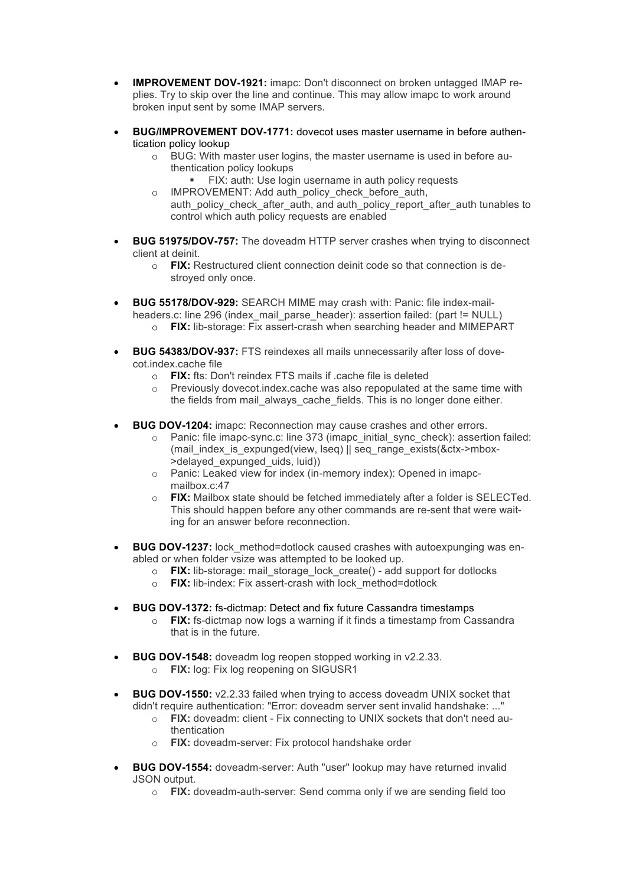- **IMPROVEMENT DOV-1921:** imapc: Don't disconnect on broken untagged IMAP replies. Try to skip over the line and continue. This may allow imapc to work around broken input sent by some IMAP servers.
- **BUG/IMPROVEMENT DOV-1771:** dovecot uses master username in before authentication policy lookup
	- o BUG: With master user logins, the master username is used in before authentication policy lookups
		- **EX:** auth: Use login username in auth policy requests
	- o IMPROVEMENT: Add auth\_policy\_check\_before\_auth, auth policy check after auth, and auth policy report\_after\_auth tunables to control which auth policy requests are enabled
- **BUG 51975/DOV-757:** The doveadm HTTP server crashes when trying to disconnect client at deinit.
	- o **FIX:** Restructured client connection deinit code so that connection is destroyed only once.
- **BUG 55178/DOV-929:** SEARCH MIME may crash with: Panic: file index-mailheaders.c: line 296 (index\_mail\_parse\_header): assertion failed: (part != NULL) o **FIX:** lib-storage: Fix assert-crash when searching header and MIMEPART
- **BUG 54383/DOV-937:** FTS reindexes all mails unnecessarily after loss of dovecot.index.cache file
	- o **FIX:** fts: Don't reindex FTS mails if .cache file is deleted
	- o Previously dovecot.index.cache was also repopulated at the same time with the fields from mail always cache fields. This is no longer done either.
- **BUG DOV-1204:** imapc: Reconnection may cause crashes and other errors.
	- $\circ$  Panic: file imapc-sync.c: line 373 (imapc initial sync check): assertion failed: (mail\_index\_is\_expunged(view, lseq) || seq\_range\_exists(&ctx->mbox- >delayed\_expunged\_uids, luid))
	- o Panic: Leaked view for index (in-memory index): Opened in imapcmailbox.c:47
	- o **FIX:** Mailbox state should be fetched immediately after a folder is SELECTed. This should happen before any other commands are re-sent that were waiting for an answer before reconnection.
- **BUG DOV-1237:** lock method=dotlock caused crashes with autoexpunging was enabled or when folder vsize was attempted to be looked up.
	- o **FIX:** lib-storage: mail\_storage\_lock\_create() add support for dotlocks
	- o **FIX:** lib-index: Fix assert-crash with lock\_method=dotlock
- **BUG DOV-1372:** fs-dictmap: Detect and fix future Cassandra timestamps
	- o **FIX:** fs-dictmap now logs a warning if it finds a timestamp from Cassandra that is in the future.
- **BUG DOV-1548:** doveadm log reopen stopped working in v2.2.33.
	- o **FIX:** log: Fix log reopening on SIGUSR1
- **BUG DOV-1550:** v2.2.33 failed when trying to access doveadm UNIX socket that didn't require authentication: "Error: doveadm server sent invalid handshake: ..."
	- o **FIX:** doveadm: client Fix connecting to UNIX sockets that don't need authentication
	- o **FIX:** doveadm-server: Fix protocol handshake order
- **BUG DOV-1554:** doveadm-server: Auth "user" lookup may have returned invalid JSON output.
	- o **FIX:** doveadm-auth-server: Send comma only if we are sending field too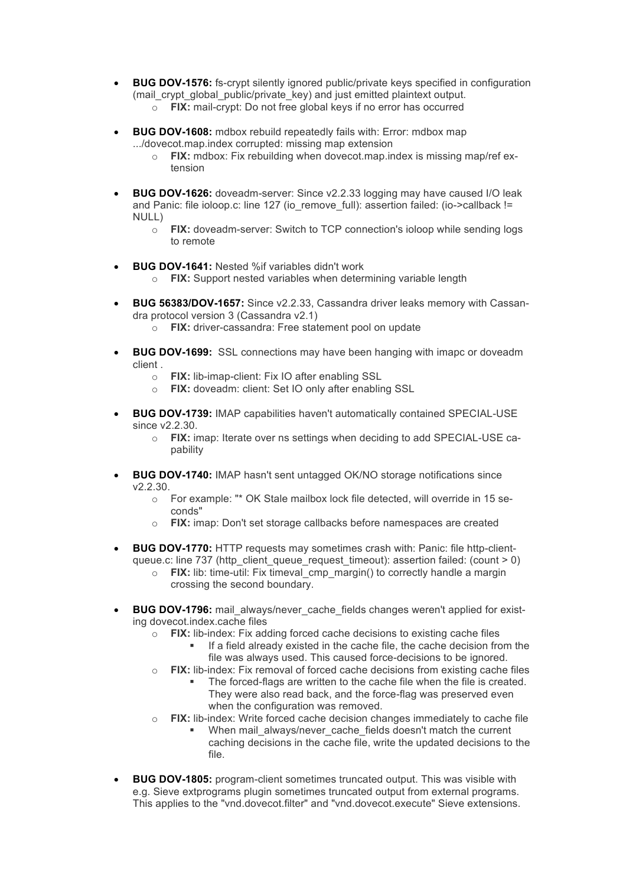- **BUG DOV-1576:** fs-crypt silently ignored public/private keys specified in configuration (mail\_crypt\_qlobal\_public/private\_key) and just emitted plaintext output. o **FIX:** mail-crypt: Do not free global keys if no error has occurred
- **BUG DOV-1608:** mdbox rebuild repeatedly fails with: Error: mdbox map .../dovecot.map.index corrupted: missing map extension
	- o **FIX:** mdbox: Fix rebuilding when dovecot.map.index is missing map/ref extension
- **BUG DOV-1626:** doveadm-server: Since v2.2.33 logging may have caused I/O leak and Panic: file ioloop.c: line 127 (io\_remove\_full): assertion failed: (io->callback != NULL)
	- o **FIX:** doveadm-server: Switch to TCP connection's ioloop while sending logs to remote
- **BUG DOV-1641:** Nested %if variables didn't work
	- o **FIX:** Support nested variables when determining variable length
- **BUG 56383/DOV-1657:** Since v2.2.33, Cassandra driver leaks memory with Cassandra protocol version 3 (Cassandra v2.1)
	- o **FIX:** driver-cassandra: Free statement pool on update
- **BUG DOV-1699:** SSL connections may have been hanging with imapc or doveadm client .
	- o **FIX:** lib-imap-client: Fix IO after enabling SSL
	- o **FIX:** doveadm: client: Set IO only after enabling SSL
- **BUG DOV-1739:** IMAP capabilities haven't automatically contained SPECIAL-USE since v2.2.30.
	- o **FIX:** imap: Iterate over ns settings when deciding to add SPECIAL-USE capability
- **BUG DOV-1740:** IMAP hasn't sent untagged OK/NO storage notifications since v2.2.30.
	- o For example: "\* OK Stale mailbox lock file detected, will override in 15 seconds"
	- o **FIX:** imap: Don't set storage callbacks before namespaces are created
- **BUG DOV-1770:** HTTP requests may sometimes crash with: Panic: file http-clientqueue.c: line 737 (http\_client\_queue\_request\_timeout): assertion failed: (count > 0)
	- o **FIX:** lib: time-util: Fix timeval\_cmp\_margin() to correctly handle a margin crossing the second boundary.
- **BUG DOV-1796:** mail\_always/never\_cache\_fields changes weren't applied for existing dovecot.index.cache files
	- o **FIX:** lib-index: Fix adding forced cache decisions to existing cache files
		- If a field already existed in the cache file, the cache decision from the file was always used. This caused force-decisions to be ignored.
	- o **FIX:** lib-index: Fix removal of forced cache decisions from existing cache files
		- The forced-flags are written to the cache file when the file is created. They were also read back, and the force-flag was preserved even when the configuration was removed.
	- o **FIX:** lib-index: Write forced cache decision changes immediately to cache file
		- When mail always/never cache fields doesn't match the current caching decisions in the cache file, write the updated decisions to the file.
- **BUG DOV-1805:** program-client sometimes truncated output. This was visible with e.g. Sieve extprograms plugin sometimes truncated output from external programs. This applies to the "vnd.dovecot.filter" and "vnd.dovecot.execute" Sieve extensions.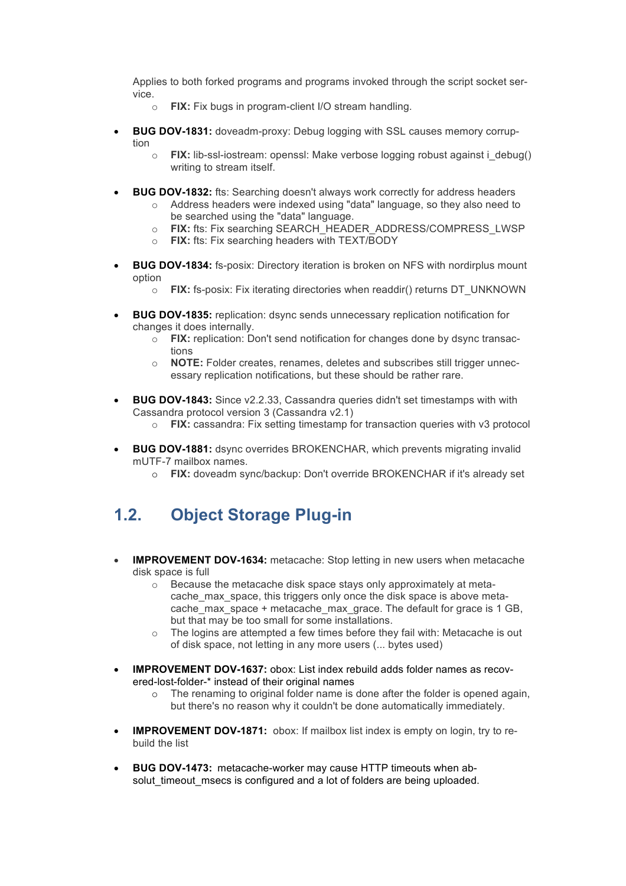Applies to both forked programs and programs invoked through the script socket service.

- o **FIX:** Fix bugs in program-client I/O stream handling.
- **BUG DOV-1831:** doveadm-proxy: Debug logging with SSL causes memory corruption
	- o **FIX:** lib-ssl-iostream: openssl: Make verbose logging robust against i\_debug() writing to stream itself.
- **BUG DOV-1832:** fts: Searching doesn't always work correctly for address headers
	- o Address headers were indexed using "data" language, so they also need to be searched using the "data" language.
	- o **FIX:** fts: Fix searching SEARCH\_HEADER\_ADDRESS/COMPRESS\_LWSP
	- o **FIX:** fts: Fix searching headers with TEXT/BODY
- **BUG DOV-1834:** fs-posix: Directory iteration is broken on NFS with nordirplus mount option
	- o **FIX:** fs-posix: Fix iterating directories when readdir() returns DT\_UNKNOWN
- **BUG DOV-1835:** replication: dsync sends unnecessary replication notification for changes it does internally.
	- o **FIX:** replication: Don't send notification for changes done by dsync transactions
	- o **NOTE:** Folder creates, renames, deletes and subscribes still trigger unnecessary replication notifications, but these should be rather rare.
- **BUG DOV-1843:** Since v2.2.33, Cassandra queries didn't set timestamps with with Cassandra protocol version 3 (Cassandra v2.1)
	- o **FIX:** cassandra: Fix setting timestamp for transaction queries with v3 protocol
- **BUG DOV-1881:** dsync overrides BROKENCHAR, which prevents migrating invalid mUTF-7 mailbox names.
	- o **FIX:** doveadm sync/backup: Don't override BROKENCHAR if it's already set

#### **1.2. Object Storage Plug-in**

- **IMPROVEMENT DOV-1634:** metacache: Stop letting in new users when metacache disk space is full
	- o Because the metacache disk space stays only approximately at metacache max space, this triggers only once the disk space is above metacache max space + metacache max grace. The default for grace is 1 GB, but that may be too small for some installations.
	- $\circ$  The logins are attempted a few times before they fail with: Metacache is out of disk space, not letting in any more users (... bytes used)
- **IMPROVEMENT DOV-1637:** obox: List index rebuild adds folder names as recovered-lost-folder-\* instead of their original names
	- $\circ$  The renaming to original folder name is done after the folder is opened again, but there's no reason why it couldn't be done automatically immediately.
- **IMPROVEMENT DOV-1871:** obox: If mailbox list index is empty on login, try to rebuild the list
- **BUG DOV-1473:** metacache-worker may cause HTTP timeouts when absolut timeout msecs is configured and a lot of folders are being uploaded.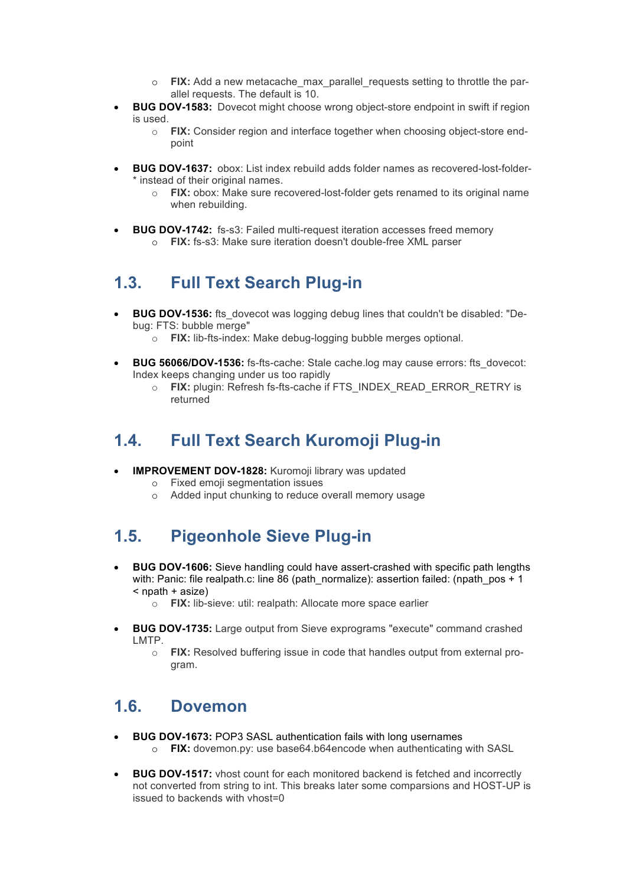- o **FIX:** Add a new metacache\_max\_parallel\_requests setting to throttle the parallel requests. The default is 10.
- **BUG DOV-1583:** Dovecot might choose wrong object-store endpoint in swift if region is used.
	- o **FIX:** Consider region and interface together when choosing object-store endpoint
- **BUG DOV-1637:** obox: List index rebuild adds folder names as recovered-lost-folder- \* instead of their original names.
	- o **FIX:** obox: Make sure recovered-lost-folder gets renamed to its original name when rebuilding.
- **BUG DOV-1742:** fs-s3: Failed multi-request iteration accesses freed memory o **FIX:** fs-s3: Make sure iteration doesn't double-free XML parser

#### **1.3. Full Text Search Plug-in**

- **BUG DOV-1536:** fts dovecot was logging debug lines that couldn't be disabled: "Debug: FTS: bubble merge"
	- o **FIX:** lib-fts-index: Make debug-logging bubble merges optional.
- **BUG 56066/DOV-1536:** fs-fts-cache: Stale cache.log may cause errors: fts\_dovecot: Index keeps changing under us too rapidly
	- o **FIX:** plugin: Refresh fs-fts-cache if FTS\_INDEX\_READ\_ERROR\_RETRY is returned

#### **1.4. Full Text Search Kuromoji Plug-in**

- **IMPROVEMENT DOV-1828:** Kuromoji library was updated
	- o Fixed emoji segmentation issues
	- o Added input chunking to reduce overall memory usage

## **1.5. Pigeonhole Sieve Plug-in**

- **BUG DOV-1606:** Sieve handling could have assert-crashed with specific path lengths with: Panic: file realpath.c: line 86 (path\_normalize): assertion failed: (npath\_pos + 1) < npath + asize)
	- o **FIX:** lib-sieve: util: realpath: Allocate more space earlier
- **BUG DOV-1735:** Large output from Sieve exprograms "execute" command crashed LMTP.
	- o **FIX:** Resolved buffering issue in code that handles output from external program.

## **1.6. Dovemon**

- **BUG DOV-1673:** POP3 SASL authentication fails with long usernames o **FIX:** dovemon.py: use base64.b64encode when authenticating with SASL
- **BUG DOV-1517:** vhost count for each monitored backend is fetched and incorrectly not converted from string to int. This breaks later some comparsions and HOST-UP is issued to backends with vhost=0